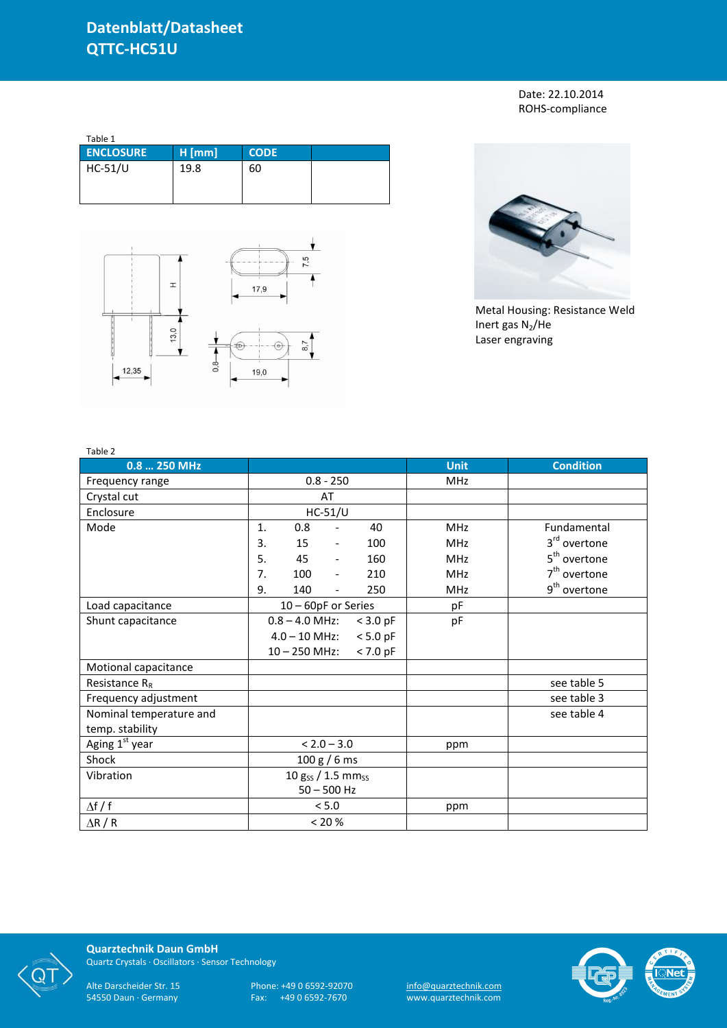Date: 22.10.2014 ROHS-compliance

| Table 1          |          |             |  |
|------------------|----------|-------------|--|
| <b>ENCLOSURE</b> | $H$ [mm] | <b>CODE</b> |  |
| HC-51/U          | 19.8     | 60          |  |





Metal Housing: Resistance Weld Inert gas  $N_2$ /He Laser engraving

| Table 2                    |                     |                                     |             |                          |
|----------------------------|---------------------|-------------------------------------|-------------|--------------------------|
| 0.8  250 MHz               |                     |                                     | <b>Unit</b> | <b>Condition</b>         |
| Frequency range            | $0.8 - 250$         |                                     | MHz         |                          |
| Crystal cut                | AT                  |                                     |             |                          |
| Enclosure                  | $HC-51/U$           |                                     |             |                          |
| Mode                       | 0.8<br>1.           | 40<br>$\overline{\phantom{a}}$      | <b>MHz</b>  | Fundamental              |
|                            | 3.<br>15            | 100<br>$\overline{\phantom{a}}$     | MHz         | 3 <sup>rd</sup> overtone |
|                            | 5.<br>45            | 160<br>$\overline{\phantom{a}}$     | <b>MHz</b>  | 5 <sup>th</sup> overtone |
|                            | 7.<br>100           | 210<br>$\blacksquare$               | <b>MHz</b>  | $7th$ overtone           |
|                            | 9.<br>140           | 250<br>$\qquad \qquad \blacksquare$ | <b>MHz</b>  | 9 <sup>th</sup> overtone |
| Load capacitance           | 10 - 60pF or Series |                                     | pF          |                          |
| Shunt capacitance          | $0.8 - 4.0$ MHz:    | $<$ 3.0 pF                          | pF          |                          |
|                            | $4.0 - 10$ MHz:     | $< 5.0$ pF                          |             |                          |
|                            | $10 - 250$ MHz:     | $< 7.0$ pF                          |             |                          |
| Motional capacitance       |                     |                                     |             |                          |
| Resistance $R_R$           |                     |                                     |             | see table 5              |
| Frequency adjustment       |                     |                                     |             | see table 3              |
| Nominal temperature and    |                     |                                     |             | see table 4              |
| temp. stability            |                     |                                     |             |                          |
| Aging 1 <sup>st</sup> year | $< 2.0 - 3.0$       |                                     | ppm         |                          |
| Shock                      | 100 g / 6 ms        |                                     |             |                          |
| Vibration                  | 10 gss / 1.5 mmss   |                                     |             |                          |
|                            | $50 - 500$ Hz       |                                     |             |                          |
| $\Delta f / f$             | < 5.0               |                                     | ppm         |                          |
| $\Delta$ R / R             | $< 20 \%$           |                                     |             |                          |



**Quarztechnik Daun GmbH** Quartz Crystals · Oscillators · Sensor Technology

Alte Darscheider Str. 15 Phone: +49 0 6592-92070 <u>info@quarztechnik.com</u> 54550 Daun · Germany Fax: +49 0 6592-7670 www.quarztechnik.com